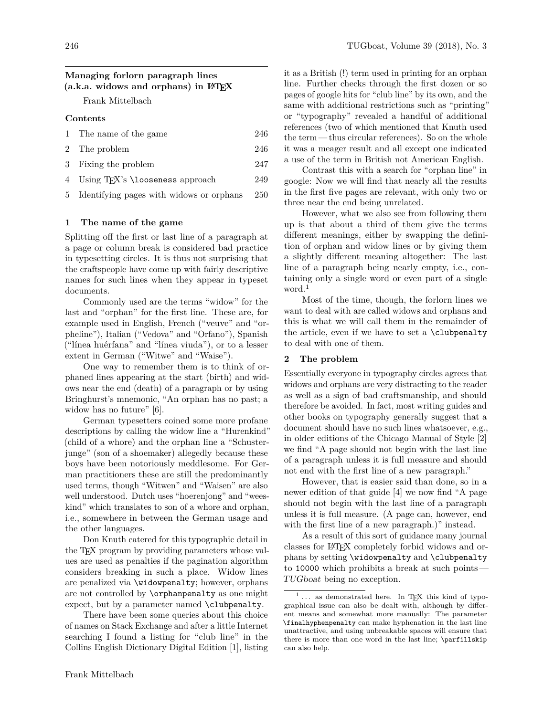# **Managing forlorn paragraph lines (a.k.a. widows and orphans) in LATEX**

Frank Mittelbach

### **Contents**

| 1 The name of the game                         | 246 |
|------------------------------------------------|-----|
| 2 The problem                                  | 246 |
| 3 Fixing the problem                           | 247 |
| 4 Using T <sub>F</sub> X's \looseness approach | 249 |

5 Identifying pages with widows or orphans 250

## **1 The name of the game**

Splitting off the first or last line of a paragraph at a page or column break is considered bad practice in typesetting circles. It is thus not surprising that the craftspeople have come up with fairly descriptive names for such lines when they appear in typeset documents.

Commonly used are the terms "widow" for the last and "orphan" for the first line. These are, for example used in English, French ("veuve" and "orpheline"), Italian ("Vedova" and "Orfano"), Spanish ("línea huérfana" and "línea viuda"), or to a lesser extent in German ("Witwe" and "Waise").

One way to remember them is to think of orphaned lines appearing at the start (birth) and widows near the end (death) of a paragraph or by using Bringhurst's mnemonic, "An orphan has no past; a widow has no future" [6].

German typesetters coined some more profane descriptions by calling the widow line a "Hurenkind" (child of a whore) and the orphan line a "Schusterjunge" (son of a shoemaker) allegedly because these boys have been notoriously meddlesome. For German practitioners these are still the predominantly used terms, though "Witwen" and "Waisen" are also well understood. Dutch uses "hoerenjong" and "weeskind" which translates to son of a whore and orphan, i.e., somewhere in between the German usage and the other languages.

Don Knuth catered for this typographic detail in the T<sub>E</sub>X program by providing parameters whose values are used as penalties if the pagination algorithm considers breaking in such a place. Widow lines are penalized via \widowpenalty; however, orphans are not controlled by \orphanpenalty as one might expect, but by a parameter named \clubpenalty.

There have been some queries about this choice of names on Stack Exchange and after a little Internet searching I found a listing for "club line" in the Collins English Dictionary Digital Edition [1], listing

it as a British (!) term used in printing for an orphan line. Further checks through the first dozen or so pages of google hits for "club line" by its own, and the same with additional restrictions such as "printing" or "typography" revealed a handful of additional references (two of which mentioned that Knuth used the term — thus circular references). So on the whole it was a meager result and all except one indicated a use of the term in British not American English.

Contrast this with a search for "orphan line" in google: Now we will find that nearly all the results in the first five pages are relevant, with only two or three near the end being unrelated.

However, what we also see from following them up is that about a third of them give the terms different meanings, either by swapping the definition of orphan and widow lines or by giving them a slightly different meaning altogether: The last line of a paragraph being nearly empty, i.e., containing only a single word or even part of a single word.<sup>1</sup>

Most of the time, though, the forlorn lines we want to deal with are called widows and orphans and this is what we will call them in the remainder of the article, even if we have to set a \clubpenalty to deal with one of them.

### **2 The problem**

Essentially everyone in typography circles agrees that widows and orphans are very distracting to the reader as well as a sign of bad craftsmanship, and should therefore be avoided. In fact, most writing guides and other books on typography generally suggest that a document should have no such lines whatsoever, e.g., in older editions of the Chicago Manual of Style [2] we find "A page should not begin with the last line of a paragraph unless it is full measure and should not end with the first line of a new paragraph."

However, that is easier said than done, so in a newer edition of that guide [4] we now find "A page should not begin with the last line of a paragraph unless it is full measure. (A page can, however, end with the first line of a new paragraph.)" instead.

As a result of this sort of guidance many journal classes for LATEX completely forbid widows and orphans by setting \widowpenalty and \clubpenalty to 10000 which prohibits a break at such points— TUGboat being no exception.

 $^1$   $\ldots$  as demonstrated here. In TEX this kind of typographical issue can also be dealt with, although by different means and somewhat more manually: The parameter \finalhyphenpenalty can make hyphenation in the last line unattractive, and using unbreakable spaces will ensure that there is more than one word in the last line; \parfillskip can also help.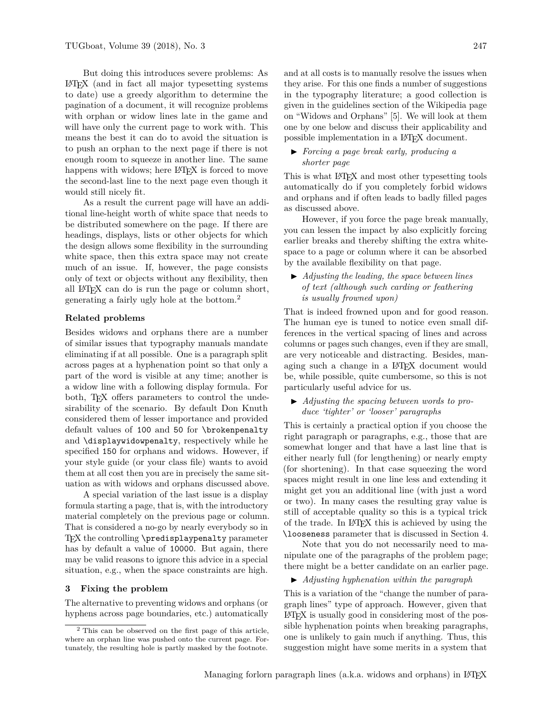But doing this introduces severe problems: As LATEX (and in fact all major typesetting systems to date) use a greedy algorithm to determine the pagination of a document, it will recognize problems with orphan or widow lines late in the game and will have only the current page to work with. This means the best it can do to avoid the situation is to push an orphan to the next page if there is not enough room to squeeze in another line. The same happens with widows; here L<sup>AT</sup>FX is forced to move the second-last line to the next page even though it would still nicely fit.

As a result the current page will have an additional line-height worth of white space that needs to be distributed somewhere on the page. If there are headings, displays, lists or other objects for which the design allows some flexibility in the surrounding white space, then this extra space may not create much of an issue. If, however, the page consists only of text or objects without any flexibility, then all LATEX can do is run the page or column short, generating a fairly ugly hole at the bottom.<sup>2</sup>

### **Related problems**

Besides widows and orphans there are a number of similar issues that typography manuals mandate eliminating if at all possible. One is a paragraph split across pages at a hyphenation point so that only a part of the word is visible at any time; another is a widow line with a following display formula. For both, T<sub>EX</sub> offers parameters to control the undesirability of the scenario. By default Don Knuth considered them of lesser importance and provided default values of 100 and 50 for \brokenpenalty and \displaywidowpenalty, respectively while he specified 150 for orphans and widows. However, if your style guide (or your class file) wants to avoid them at all cost then you are in precisely the same situation as with widows and orphans discussed above.

A special variation of the last issue is a display formula starting a page, that is, with the introductory material completely on the previous page or column. That is considered a no-go by nearly everybody so in TFX the controlling \predisplaypenalty parameter has by default a value of 10000. But again, there may be valid reasons to ignore this advice in a special situation, e.g., when the space constraints are high.

#### **3 Fixing the problem**

The alternative to preventing widows and orphans (or hyphens across page boundaries, etc.) automatically and at all costs is to manually resolve the issues when they arise. For this one finds a number of suggestions in the typography literature; a good collection is given in the guidelines section of the Wikipedia page on "Widows and Orphans" [5]. We will look at them one by one below and discuss their applicability and possible implementation in a LATEX document.

### I *Forcing a page break early, producing a shorter page*

This is what LAT<sub>EX</sub> and most other typesetting tools automatically do if you completely forbid widows and orphans and if often leads to badly filled pages as discussed above.

However, if you force the page break manually, you can lessen the impact by also explicitly forcing earlier breaks and thereby shifting the extra whitespace to a page or column where it can be absorbed by the available flexibility on that page.

## I *Adjusting the leading, the space between lines of text (although such carding or feathering is usually frowned upon)*

That is indeed frowned upon and for good reason. The human eye is tuned to notice even small differences in the vertical spacing of lines and across columns or pages such changes, even if they are small, are very noticeable and distracting. Besides, managing such a change in a LATEX document would be, while possible, quite cumbersome, so this is not particularly useful advice for us.

I *Adjusting the spacing between words to produce 'tighter' or 'looser' paragraphs*

This is certainly a practical option if you choose the right paragraph or paragraphs, e.g., those that are somewhat longer and that have a last line that is either nearly full (for lengthening) or nearly empty (for shortening). In that case squeezing the word spaces might result in one line less and extending it might get you an additional line (with just a word or two). In many cases the resulting gray value is still of acceptable quality so this is a typical trick of the trade. In LATEX this is achieved by using the \looseness parameter that is discussed in Section 4.

Note that you do not necessarily need to manipulate one of the paragraphs of the problem page; there might be a better candidate on an earlier page.

I *Adjusting hyphenation within the paragraph*

This is a variation of the "change the number of paragraph lines" type of approach. However, given that LATEX is usually good in considering most of the possible hyphenation points when breaking paragraphs, one is unlikely to gain much if anything. Thus, this suggestion might have some merits in a system that

<sup>2</sup> This can be observed on the first page of this article, where an orphan line was pushed onto the current page. Fortunately, the resulting hole is partly masked by the footnote.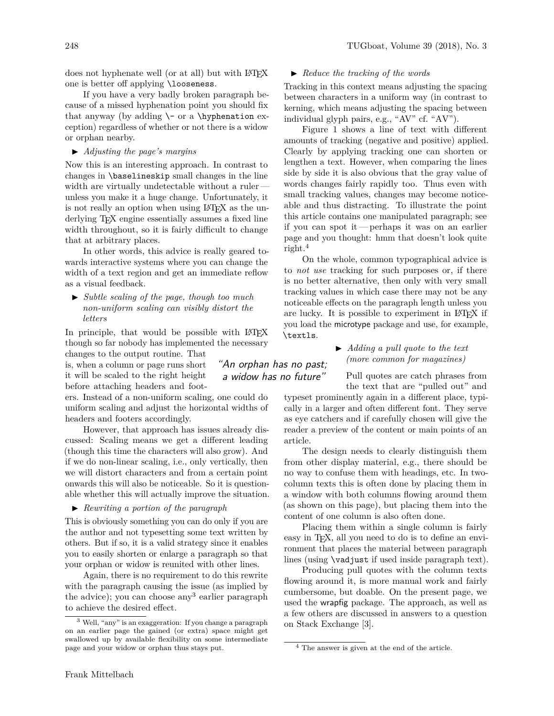does not hyphenate well (or at all) but with LATEX one is better off applying \looseness.

If you have a very badly broken paragraph because of a missed hyphenation point you should fix that anyway (by adding  $\lq$ - or a  $\hq$  hyphenation exception) regardless of whether or not there is a widow or orphan nearby.

I *Adjusting the page's margins*

Now this is an interesting approach. In contrast to changes in \baselineskip small changes in the line width are virtually undetectable without a rulerunless you make it a huge change. Unfortunately, it is not really an option when using LAT<sub>EX</sub> as the underlying T<sub>E</sub>X engine essentially assumes a fixed line width throughout, so it is fairly difficult to change that at arbitrary places.

In other words, this advice is really geared towards interactive systems where you can change the width of a text region and get an immediate reflow as a visual feedback.

I *Subtle scaling of the page, though too much non-uniform scaling can visibly distort the letters*

In principle, that would be possible with LATEX though so far nobody has implemented the necessary changes to the output routine. That

> "An orphan has no past; a widow has no future"

is, when a column or page runs short it will be scaled to the right height before attaching headers and foot-

ers. Instead of a non-uniform scaling, one could do uniform scaling and adjust the horizontal widths of headers and footers accordingly.

However, that approach has issues already discussed: Scaling means we get a different leading (though this time the characters will also grow). And if we do non-linear scaling, i.e., only vertically, then we will distort characters and from a certain point onwards this will also be noticeable. So it is questionable whether this will actually improve the situation.

### I *Rewriting a portion of the paragraph*

This is obviously something you can do only if you are the author and not typesetting some text written by others. But if so, it is a valid strategy since it enables you to easily shorten or enlarge a paragraph so that your orphan or widow is reunited with other lines.

Again, there is no requirement to do this rewrite with the paragraph causing the issue (as implied by the advice); you can choose any<sup>3</sup> earlier paragraph to achieve the desired effect.

### ▶ *Reduce the tracking of the words*

Tracking in this context means adjusting the spacing between characters in a uniform way (in contrast to kerning, which means adjusting the spacing between individual glyph pairs, e.g., "AV" cf. "AV").

Figure 1 shows a line of text with different amounts of tracking (negative and positive) applied. Clearly by applying tracking one can shorten or lengthen a text. However, when comparing the lines side by side it is also obvious that the gray value of words changes fairly rapidly too. Thus even with small tracking values, changes may become noticeable and thus distracting. To illustrate the point this article contains one manipulated paragraph; see if you can spot it— perhaps it was on an earlier page and you thought: hmm that doesn't look quite right. $4$ 

On the whole, common typographical advice is to *not use* tracking for such purposes or, if there is no better alternative, then only with very small tracking values in which case there may not be any noticeable effects on the paragraph length unless you are lucky. It is possible to experiment in LATEX if you load the microtype package and use, for example, \textls.

> I *Adding a pull quote to the text (more common for magazines)*

Pull quotes are catch phrases from the text that are "pulled out" and

typeset prominently again in a different place, typically in a larger and often different font. They serve as eye catchers and if carefully chosen will give the reader a preview of the content or main points of an article.

The design needs to clearly distinguish them from other display material, e.g., there should be no way to confuse them with headings, etc. In twocolumn texts this is often done by placing them in a window with both columns flowing around them (as shown on this page), but placing them into the content of one column is also often done.

Placing them within a single column is fairly easy in T<sub>F</sub>X, all you need to do is to define an environment that places the material between paragraph lines (using \vadjust if used inside paragraph text).

Producing pull quotes with the column texts flowing around it, is more manual work and fairly cumbersome, but doable. On the present page, we used the wrapfig package. The approach, as well as a few others are discussed in answers to a question on Stack Exchange [3].

<sup>3</sup> Well, "any" is an exaggeration: If you change a paragraph on an earlier page the gained (or extra) space might get swallowed up by available flexibility on some intermediate page and your widow or orphan thus stays put.

<sup>4</sup> The answer is given at the end of the article.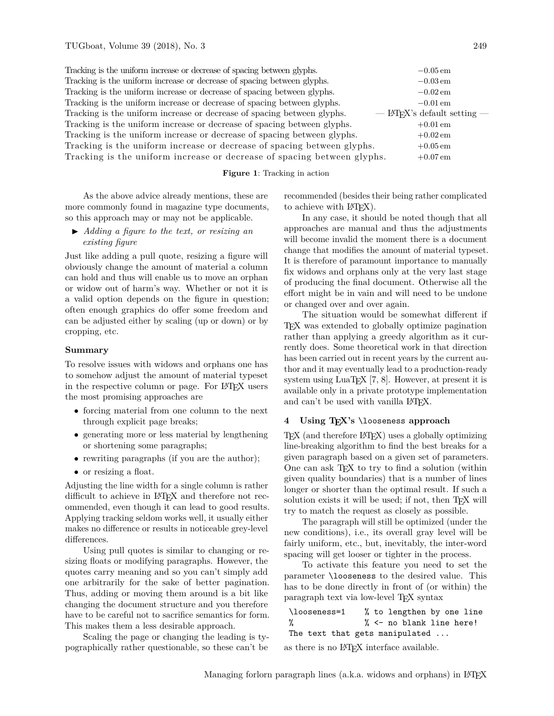Tracking is the uniform increase or decrease of spacing between glyphs. −0*.*05 em Tracking is the uniform increase or decrease of spacing between glyphs.  $−0.03$  em Tracking is the uniform increase or decrease of spacing between glyphs.  $−0.02$  em Tracking is the uniform increase or decrease of spacing between glyphs.  $−0.01$  em Tracking is the uniform increase or decrease of spacing between glyphs.  $-$  LAT<sub>E</sub>X's default setting  $-$ Tracking is the uniform increase or decrease of spacing between glyphs.  $+0.01$  em Tracking is the uniform increase or decrease of spacing between glyphs.  $+0.02 \text{ cm}$ Tracking is the uniform increase or decrease of spacing between glyphs.  $+0.05$  em Tracking is the uniform increase or decrease of spacing between glyphs.  $+0.07$  em

#### **Figure 1**: Tracking in action

As the above advice already mentions, these are more commonly found in magazine type documents, so this approach may or may not be applicable.

I *Adding a figure to the text, or resizing an existing figure*

Just like adding a pull quote, resizing a figure will obviously change the amount of material a column can hold and thus will enable us to move an orphan or widow out of harm's way. Whether or not it is a valid option depends on the figure in question; often enough graphics do offer some freedom and can be adjusted either by scaling (up or down) or by cropping, etc.

#### **Summary**

To resolve issues with widows and orphans one has to somehow adjust the amount of material typeset in the respective column or page. For LAT<sub>EX</sub> users the most promising approaches are

- forcing material from one column to the next through explicit page breaks;
- generating more or less material by lengthening or shortening some paragraphs;
- rewriting paragraphs (if you are the author);
- or resizing a float.

Adjusting the line width for a single column is rather difficult to achieve in LAT<sub>EX</sub> and therefore not recommended, even though it can lead to good results. Applying tracking seldom works well, it usually either makes no difference or results in noticeable grey-level differences.

Using pull quotes is similar to changing or resizing floats or modifying paragraphs. However, the quotes carry meaning and so you can't simply add one arbitrarily for the sake of better pagination. Thus, adding or moving them around is a bit like changing the document structure and you therefore have to be careful not to sacrifice semantics for form. This makes them a less desirable approach.

Scaling the page or changing the leading is typographically rather questionable, so these can't be

recommended (besides their being rather complicated to achieve with  $\text{LFT}(\text{X})$ .

In any case, it should be noted though that all approaches are manual and thus the adjustments will become invalid the moment there is a document change that modifies the amount of material typeset. It is therefore of paramount importance to manually fix widows and orphans only at the very last stage of producing the final document. Otherwise all the effort might be in vain and will need to be undone or changed over and over again.

The situation would be somewhat different if TEX was extended to globally optimize pagination rather than applying a greedy algorithm as it currently does. Some theoretical work in that direction has been carried out in recent years by the current author and it may eventually lead to a production-ready system using LuaT<sub>EX</sub> [7, 8]. However, at present it is available only in a private prototype implementation and can't be used with vanilla LATFX.

# **4 Using TEX's** \looseness **approach**

T<sub>EX</sub> (and therefore L<sup>AT</sup>EX) uses a globally optimizing line-breaking algorithm to find the best breaks for a given paragraph based on a given set of parameters. One can ask TEX to try to find a solution (within given quality boundaries) that is a number of lines longer or shorter than the optimal result. If such a solution exists it will be used; if not, then TFX will try to match the request as closely as possible.

The paragraph will still be optimized (under the new conditions), i.e., its overall gray level will be fairly uniform, etc., but, inevitably, the inter-word spacing will get looser or tighter in the process.

To activate this feature you need to set the parameter \looseness to the desired value. This has to be done directly in front of (or within) the paragraph text via low-level TEX syntax

```
\looseness=1 % to lengthen by one line
% % <- no blank line here!
The text that gets manipulated ...
as there is no LATEX interface available.
```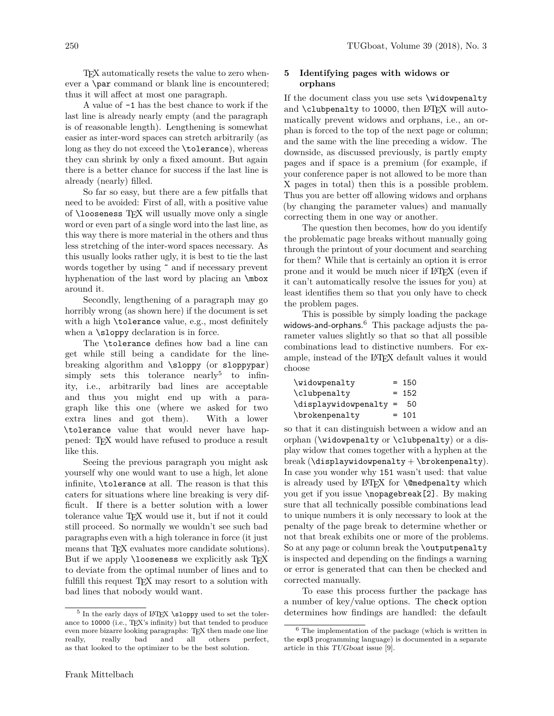TEX automatically resets the value to zero whenever a \par command or blank line is encountered; thus it will affect at most one paragraph.

A value of -1 has the best chance to work if the last line is already nearly empty (and the paragraph is of reasonable length). Lengthening is somewhat easier as inter-word spaces can stretch arbitrarily (as long as they do not exceed the \tolerance), whereas they can shrink by only a fixed amount. But again there is a better chance for success if the last line is already (nearly) filled.

So far so easy, but there are a few pitfalls that need to be avoided: First of all, with a positive value of  $\lozenge$  looseness TEX will usually move only a single word or even part of a single word into the last line, as this way there is more material in the others and thus less stretching of the inter-word spaces necessary. As this usually looks rather ugly, it is best to tie the last words together by using  $\tilde{ }$  and if necessary prevent hyphenation of the last word by placing an \mbox around it.

Secondly, lengthening of a paragraph may go horribly wrong (as shown here) if the document is set with a high \tolerance value, e.g., most definitely when a  $\simeq$  declaration is in force.

The \tolerance defines how bad a line can get while still being a candidate for the linebreaking algorithm and \sloppy (or sloppypar) simply sets this tolerance nearly<sup>5</sup> to infinity, i.e., arbitrarily bad lines are acceptable and thus you might end up with a paragraph like this one (where we asked for two extra lines and got them). With a lower \tolerance value that would never have happened: TEX would have refused to produce a result like this.

Seeing the previous paragraph you might ask yourself why one would want to use a high, let alone infinite, \tolerance at all. The reason is that this caters for situations where line breaking is very difficult. If there is a better solution with a lower tolerance value TEX would use it, but if not it could still proceed. So normally we wouldn't see such bad paragraphs even with a high tolerance in force (it just means that TFX evaluates more candidate solutions). But if we apply **\looseness** we explicitly ask TFX to deviate from the optimal number of lines and to fulfill this request TEX may resort to a solution with bad lines that nobody would want.

# **5 Identifying pages with widows or orphans**

If the document class you use sets \widowpenalty and  $\clap{\text{clubpenalty}}$  to 10000, then LAT<sub>E</sub>X will automatically prevent widows and orphans, i.e., an orphan is forced to the top of the next page or column; and the same with the line preceding a widow. The downside, as discussed previously, is partly empty pages and if space is a premium (for example, if your conference paper is not allowed to be more than X pages in total) then this is a possible problem. Thus you are better off allowing widows and orphans (by changing the parameter values) and manually correcting them in one way or another.

The question then becomes, how do you identify the problematic page breaks without manually going through the printout of your document and searching for them? While that is certainly an option it is error prone and it would be much nicer if LATEX (even if it can't automatically resolve the issues for you) at least identifies them so that you only have to check the problem pages.

This is possible by simply loading the package widows-and-orphans. <sup>6</sup> This package adjusts the parameter values slightly so that so that all possible combinations lead to distinctive numbers. For example, instead of the LATEX default values it would choose

| \widowpenalty                                           | $= 150$ |
|---------------------------------------------------------|---------|
| \clubpenalty                                            | $= 152$ |
| $\displaystyle\bigcup\limits_{x}$ displaywidowpenalty = | - 50    |
| \brokenpenalty                                          | $= 101$ |

so that it can distinguish between a widow and an orphan (\widowpenalty or \clubpenalty) or a display widow that comes together with a hyphen at the break  $(\text{displaywidth})$ . In case you wonder why 151 wasn't used: that value is already used by LAT<sub>F</sub>X for **\@medpenalty** which you get if you issue \nopagebreak[2]. By making sure that all technically possible combinations lead to unique numbers it is only necessary to look at the penalty of the page break to determine whether or not that break exhibits one or more of the problems. So at any page or column break the \outputpenalty is inspected and depending on the findings a warning or error is generated that can then be checked and corrected manually.

To ease this process further the package has a number of key/value options. The check option determines how findings are handled: the default

 $^5$  In the early days of IATEX  $\simeq$  used to set the tolerance to 10000 (i.e., TEX's infinity) but that tended to produce even more bizarre looking paragraphs: T<sub>E</sub>X then made one line<br>really, really bad and all others perfect, and all others as that looked to the optimizer to be the best solution.

 $^6$  The implementation of the package (which is written in the expl3 programming language) is documented in a separate article in this TUGboat issue [9].